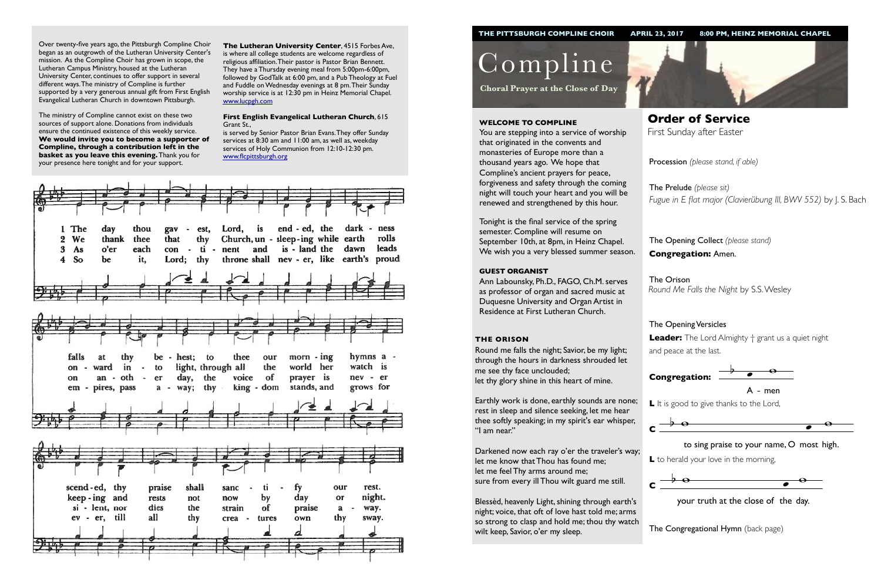Procession *(please stand, if able)*

The Opening Collect *(please stand)* **Congregation:** Amen.

# The Opening Versicles

**L** to herald your love in the morning,  $\ddot{\phantom{0}}$ 

**Leader:** The Lord Almighty † grant us a quiet night and peace at the last.



Compline

**Choral Prayer at the Close of Day**

**Order of Service**  First Sunday after Easter

#### **WELCOME TO COMPLINE**

You are stepping into a service of worship that originated in the convents and monasteries of Europe more than a thousand years ago. We hope that Compline's ancient prayers for peace, forgiveness and safety through the coming night will touch your heart and you will be renewed and strengthened by this hour.

The Prelude *(please sit) Fugue in E flat major (Clavierübung III, BWV 552)* by J. S. Bach

The Orison *Round Me Falls the Night* by S.S. Wesley

Tonight is the final service of the spring semester. Compline will resume on September 10th, at 8pm, in Heinz Chapel. We wish you a very blessed summer season.

#### **GUEST ORGANIST**

Ann Labounsky, Ph.D., FAGO, Ch.M. serves as professor of organ and sacred music at Duquesne University and Organ Artist in Residence at First Lutheran Church.



#### **THE ORISON**

Round me falls the night; Savior, be my light; through the hours in darkness shrouded let me see thy face unclouded; let thy glory shine in this heart of mine.

Earthly work is done, earthly sounds are none; rest in sleep and silence seeking, let me hear thee softly speaking; in my spirit's ear whisper, "I am near."



 $\frac{1}{2}$  your truth at the close of the day.

**The Congregational Hymn** (back page)



Darkened now each ray o'er the traveler's way; let me know that Thou has found me; let me feel Thy arms around me; sure from every ill Thou wilt guard me still.

Blessèd, heavenly Light, shining through earth's night; voice, that oft of love hast told me; arms so strong to clasp and hold me; thou thy watch wilt keep, Savior, o'er my sleep.

Over twenty-five years ago, the Pittsburgh Compline Choir began as an outgrowth of the Lutheran University Center's mission. As the Compline Choir has grown in scope, the Lutheran Campus Ministry, housed at the Lutheran University Center, continues to offer support in several different ways. The ministry of Compline is further supported by a very generous annual gift from First English Evangelical Lutheran Church in downtown Pittsburgh.

The ministry of Compline cannot exist on these two sources of support alone. Donations from individuals ensure the continued existence of this weekly service. **We would invite you to become a supporter of Compline, through a contribution left in the basket as you leave this evening.** Thank you for your presence here tonight and for your support.



L It is good to give thanks to the Lord,



**The Lutheran University Center**, 4515 Forbes Ave, is where all college students are welcome regardless of religious affiliation. Their pastor is Pastor Brian Bennett. They have a Thursday evening meal from 5:00pm-6:00pm, followed by GodTalk at 6:00 pm, and a Pub Theology at Fuel and Fuddle on Wednesday evenings at 8 pm. Their Sunday worship service is at 12:30 pm in Heinz Memorial Chapel. [www.lucpgh.com](http://www.lucpgh.com)

#### **First English Evangelical Lutheran Church**, 615 Grant St.,

is served by Senior Pastor Brian Evans. They offer Sunday services at 8:30 am and 11:00 am, as well as, weekday services of Holy Communion from 12:10-12:30 pm. [www.flcpittsburgh.org](http://www.flcpittsburgh.org)